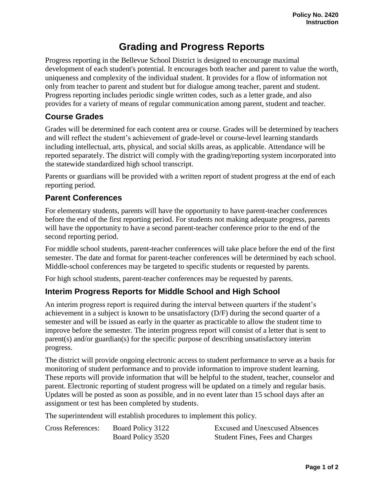## **Grading and Progress Reports**

Progress reporting in the Bellevue School District is designed to encourage maximal development of each student's potential. It encourages both teacher and parent to value the worth, uniqueness and complexity of the individual student. It provides for a flow of information not only from teacher to parent and student but for dialogue among teacher, parent and student. Progress reporting includes periodic single written codes, such as a letter grade, and also provides for a variety of means of regular communication among parent, student and teacher.

## **Course Grades**

Grades will be determined for each content area or course. Grades will be determined by teachers and will reflect the student's achievement of grade-level or course-level learning standards including intellectual, arts, physical, and social skills areas, as applicable. Attendance will be reported separately. The district will comply with the grading/reporting system incorporated into the statewide standardized high school transcript.

Parents or guardians will be provided with a written report of student progress at the end of each reporting period.

## **Parent Conferences**

For elementary students, parents will have the opportunity to have parent-teacher conferences before the end of the first reporting period. For students not making adequate progress, parents will have the opportunity to have a second parent-teacher conference prior to the end of the second reporting period.

For middle school students, parent-teacher conferences will take place before the end of the first semester. The date and format for parent-teacher conferences will be determined by each school. Middle-school conferences may be targeted to specific students or requested by parents.

For high school students, parent-teacher conferences may be requested by parents.

## **Interim Progress Reports for Middle School and High School**

An interim progress report is required during the interval between quarters if the student's achievement in a subject is known to be unsatisfactory (D/F) during the second quarter of a semester and will be issued as early in the quarter as practicable to allow the student time to improve before the semester. The interim progress report will consist of a letter that is sent to parent(s) and/or guardian(s) for the specific purpose of describing unsatisfactory interim progress.

The district will provide ongoing electronic access to student performance to serve as a basis for monitoring of student performance and to provide information to improve student learning. These reports will provide information that will be helpful to the student, teacher, counselor and parent. Electronic reporting of student progress will be updated on a timely and regular basis. Updates will be posted as soon as possible, and in no event later than 15 school days after an assignment or test has been completed by students.

The superintendent will establish procedures to implement this policy.

| <b>Cross References:</b> | Board Policy 3122 | <b>Excused and Unexcused Absences</b>  |
|--------------------------|-------------------|----------------------------------------|
|                          | Board Policy 3520 | <b>Student Fines, Fees and Charges</b> |